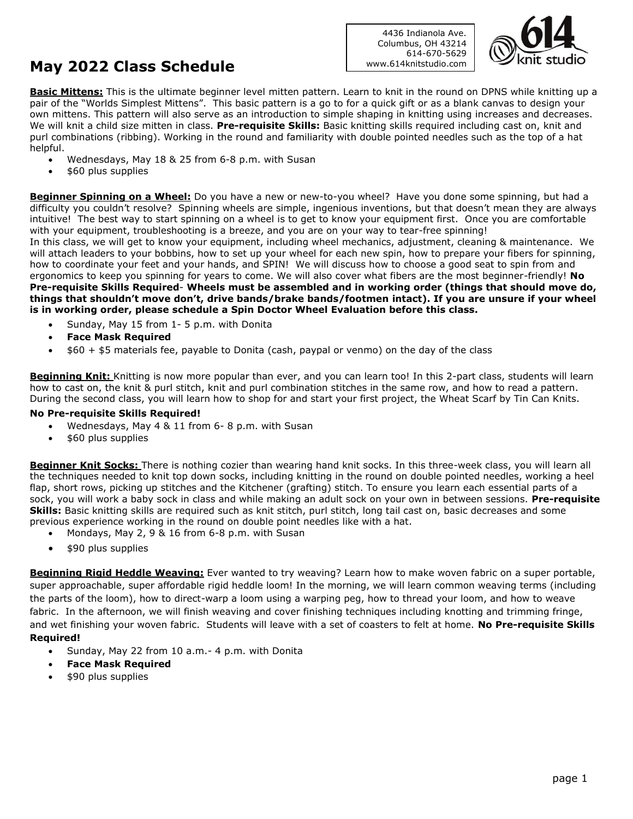## **May 2022 Class Schedule**

4436 Indianola Ave. Columbus, OH 43214 614-670-5629 www.614knitstudio.com



**Basic Mittens:** This is the ultimate beginner level mitten pattern. Learn to knit in the round on DPNS while knitting up a pair of the "Worlds Simplest Mittens". This basic pattern is a go to for a quick gift or as a blank canvas to design your own mittens. This pattern will also serve as an introduction to simple shaping in knitting using increases and decreases. We will knit a child size mitten in class. **Pre-requisite Skills:** Basic knitting skills required including cast on, knit and purl combinations (ribbing). Working in the round and familiarity with double pointed needles such as the top of a hat helpful.

- Wednesdays, May 18 & 25 from 6-8 p.m. with Susan
- \$60 plus supplies

**Beginner Spinning on a Wheel:** Do you have a new or new-to-you wheel? Have you done some spinning, but had a difficulty you couldn't resolve? Spinning wheels are simple, ingenious inventions, but that doesn't mean they are always intuitive! The best way to start spinning on a wheel is to get to know your equipment first. Once you are comfortable with your equipment, troubleshooting is a breeze, and you are on your way to tear-free spinning! In this class, we will get to know your equipment, including wheel mechanics, adjustment, cleaning & maintenance. We will attach leaders to your bobbins, how to set up your wheel for each new spin, how to prepare your fibers for spinning, how to coordinate your feet and your hands, and SPIN! We will discuss how to choose a good seat to spin from and ergonomics to keep you spinning for years to come. We will also cover what fibers are the most beginner-friendly! **No Pre-requisite Skills Required**- **Wheels must be assembled and in working order (things that should move do, things that shouldn't move don't, drive bands/brake bands/footmen intact). If you are unsure if your wheel is in working order, please schedule a Spin Doctor Wheel Evaluation before this class.**

- Sunday, May 15 from 1- 5 p.m. with Donita
- **Face Mask Required**
- \$60 + \$5 materials fee, payable to Donita (cash, paypal or venmo) on the day of the class

Beginning Knit: Knitting is now more popular than ever, and you can learn too! In this 2-part class, students will learn how to cast on, the knit & purl stitch, knit and purl combination stitches in the same row, and how to read a pattern. During the second class, you will learn how to shop for and start your first project, the Wheat Scarf by Tin Can Knits.

## **No Pre-requisite Skills Required!**

- Wednesdays, May 4 & 11 from 6- 8 p.m. with Susan
- \$60 plus supplies

**Beginner Knit Socks:** There is nothing cozier than wearing hand knit socks. In this three-week class, you will learn all the techniques needed to knit top down socks, including knitting in the round on double pointed needles, working a heel flap, short rows, picking up stitches and the Kitchener (grafting) stitch. To ensure you learn each essential parts of a sock, you will work a baby sock in class and while making an adult sock on your own in between sessions. **Pre-requisite Skills:** Basic knitting skills are required such as knit stitch, purl stitch, long tail cast on, basic decreases and some previous experience working in the round on double point needles like with a hat.

- Mondays, May 2, 9 & 16 from 6-8 p.m. with Susan
- \$90 plus supplies

**Beginning Rigid Heddle Weaving:** Ever wanted to try weaving? Learn how to make woven fabric on a super portable, super approachable, super affordable rigid heddle loom! In the morning, we will learn common weaving terms (including the parts of the loom), how to direct-warp a loom using a warping peg, how to thread your loom, and how to weave fabric. In the afternoon, we will finish weaving and cover finishing techniques including knotting and trimming fringe, and wet finishing your woven fabric. Students will leave with a set of coasters to felt at home. **No Pre-requisite Skills Required!**

- Sunday, May 22 from 10 a.m.- 4 p.m. with Donita
- **Face Mask Required**
- \$90 plus supplies